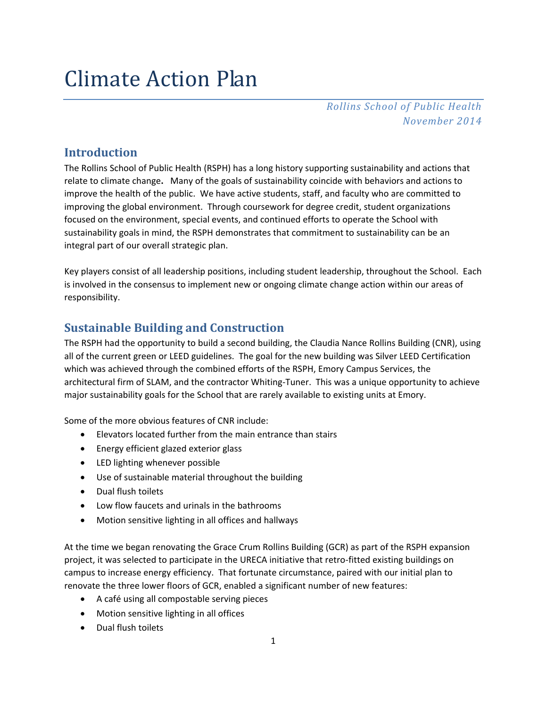# Climate Action Plan

*Rollins School of Public Health November 2014*

# **Introduction**

The Rollins School of Public Health (RSPH) has a long history supporting sustainability and actions that relate to climate change**.** Many of the goals of sustainability coincide with behaviors and actions to improve the health of the public. We have active students, staff, and faculty who are committed to improving the global environment.Through coursework for degree credit, student organizations focused on the environment, special events, and continued efforts to operate the School with sustainability goals in mind, the RSPH demonstrates that commitment to sustainability can be an integral part of our overall strategic plan.

Key players consist of all leadership positions, including student leadership, throughout the School. Each is involved in the consensus to implement new or ongoing climate change action within our areas of responsibility.

# **Sustainable Building and Construction**

The RSPH had the opportunity to build a second building, the Claudia Nance Rollins Building (CNR), using all of the current green or LEED guidelines. The goal for the new building was Silver LEED Certification which was achieved through the combined efforts of the RSPH, Emory Campus Services, the architectural firm of SLAM, and the contractor Whiting-Tuner. This was a unique opportunity to achieve major sustainability goals for the School that are rarely available to existing units at Emory.

Some of the more obvious features of CNR include:

- Elevators located further from the main entrance than stairs
- Energy efficient glazed exterior glass
- LED lighting whenever possible
- Use of sustainable material throughout the building
- Dual flush toilets
- Low flow faucets and urinals in the bathrooms
- Motion sensitive lighting in all offices and hallways

At the time we began renovating the Grace Crum Rollins Building (GCR) as part of the RSPH expansion project, it was selected to participate in the URECA initiative that retro-fitted existing buildings on campus to increase energy efficiency. That fortunate circumstance, paired with our initial plan to renovate the three lower floors of GCR, enabled a significant number of new features:

- A café using all compostable serving pieces
- Motion sensitive lighting in all offices
- Dual flush toilets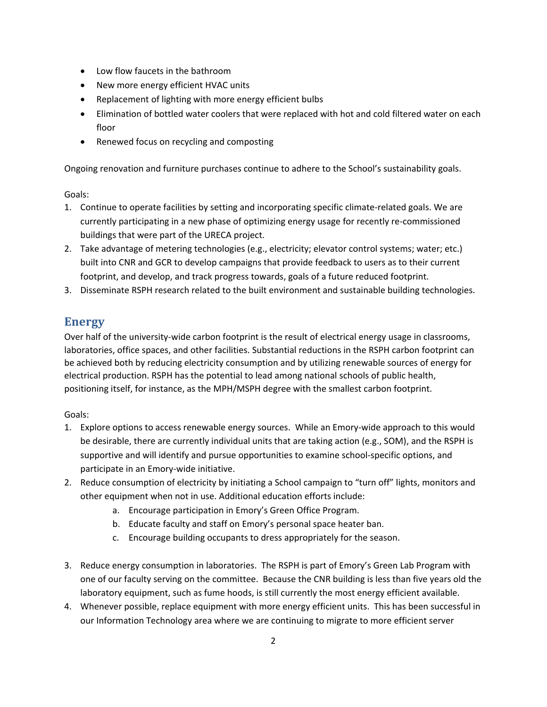- Low flow faucets in the bathroom
- New more energy efficient HVAC units
- Replacement of lighting with more energy efficient bulbs
- Elimination of bottled water coolers that were replaced with hot and cold filtered water on each floor
- Renewed focus on recycling and composting

Ongoing renovation and furniture purchases continue to adhere to the School's sustainability goals.

Goals:

- 1. Continue to operate facilities by setting and incorporating specific climate-related goals. We are currently participating in a new phase of optimizing energy usage for recently re-commissioned buildings that were part of the URECA project.
- 2. Take advantage of metering technologies (e.g., electricity; elevator control systems; water; etc.) built into CNR and GCR to develop campaigns that provide feedback to users as to their current footprint, and develop, and track progress towards, goals of a future reduced footprint.
- 3. Disseminate RSPH research related to the built environment and sustainable building technologies.

# **Energy**

Over half of the university-wide carbon footprint is the result of electrical energy usage in classrooms, laboratories, office spaces, and other facilities. Substantial reductions in the RSPH carbon footprint can be achieved both by reducing electricity consumption and by utilizing renewable sources of energy for electrical production. RSPH has the potential to lead among national schools of public health, positioning itself, for instance, as the MPH/MSPH degree with the smallest carbon footprint.

#### Goals:

- 1. Explore options to access renewable energy sources.While an Emory-wide approach to this would be desirable, there are currently individual units that are taking action (e.g., SOM), and the RSPH is supportive and will identify and pursue opportunities to examine school-specific options, and participate in an Emory-wide initiative.
- 2. Reduce consumption of electricity by initiating a School campaign to "turn off" lights, monitors and other equipment when not in use. Additional education efforts include:
	- a. Encourage participation in Emory's Green Office Program.
	- b. Educate faculty and staff on Emory's personal space heater ban.
	- c. Encourage building occupants to dress appropriately for the season.
- 3. Reduce energy consumption in laboratories. The RSPH is part of Emory's Green Lab Program with one of our faculty serving on the committee. Because the CNR building is less than five years old the laboratory equipment, such as fume hoods, is still currently the most energy efficient available.
- 4. Whenever possible, replace equipment with more energy efficient units. This has been successful in our Information Technology area where we are continuing to migrate to more efficient server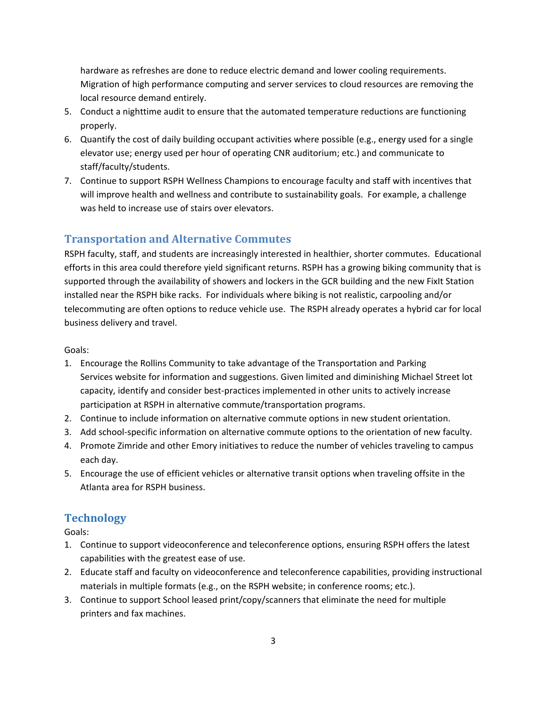hardware as refreshes are done to reduce electric demand and lower cooling requirements. Migration of high performance computing and server services to cloud resources are removing the local resource demand entirely.

- 5. Conduct a nighttime audit to ensure that the automated temperature reductions are functioning properly.
- 6. Quantify the cost of daily building occupant activities where possible (e.g., energy used for a single elevator use; energy used per hour of operating CNR auditorium; etc.) and communicate to staff/faculty/students.
- 7. Continue to support RSPH Wellness Champions to encourage faculty and staff with incentives that will improve health and wellness and contribute to sustainability goals. For example, a challenge was held to increase use of stairs over elevators.

# **Transportation and Alternative Commutes**

RSPH faculty, staff, and students are increasingly interested in healthier, shorter commutes. Educational efforts in this area could therefore yield significant returns. RSPH has a growing biking community that is supported through the availability of showers and lockers in the GCR building and the new FixIt Station installed near the RSPH bike racks. For individuals where biking is not realistic, carpooling and/or telecommuting are often options to reduce vehicle use. The RSPH already operates a hybrid car for local business delivery and travel.

Goals:

- 1. Encourage the Rollins Community to take advantage of the Transportation and Parking Services website for information and suggestions. Given limited and diminishing Michael Street lot capacity, identify and consider best-practices implemented in other units to actively increase participation at RSPH in alternative commute/transportation programs.
- 2. Continue to include information on alternative commute options in new student orientation.
- 3. Add school-specific information on alternative commute options to the orientation of new faculty.
- 4. Promote Zimride and other Emory initiatives to reduce the number of vehicles traveling to campus each day.
- 5. Encourage the use of efficient vehicles or alternative transit options when traveling offsite in the Atlanta area for RSPH business.

## **Technology**

Goals:

- 1. Continue to support videoconference and teleconference options, ensuring RSPH offers the latest capabilities with the greatest ease of use.
- 2. Educate staff and faculty on videoconference and teleconference capabilities, providing instructional materials in multiple formats (e.g., on the RSPH website; in conference rooms; etc.).
- 3. Continue to support School leased print/copy/scanners that eliminate the need for multiple printers and fax machines.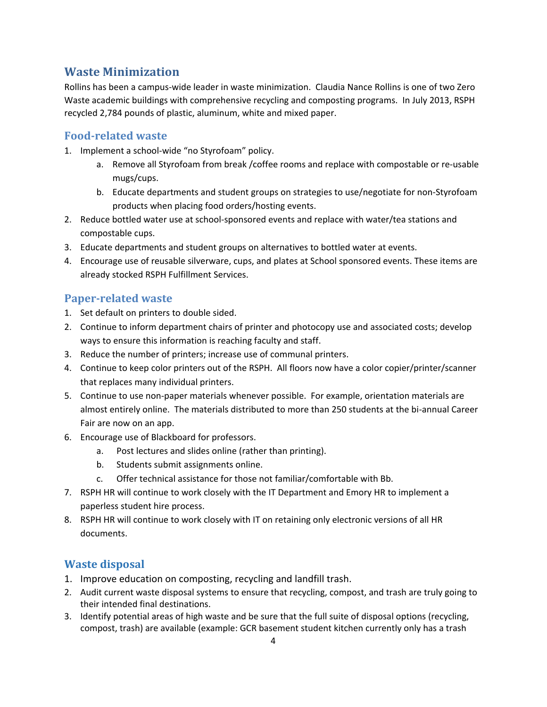# **Waste Minimization**

Rollins has been a campus-wide leader in waste minimization. Claudia Nance Rollins is one of two Zero Waste academic buildings with comprehensive recycling and composting programs. In July 2013, RSPH recycled 2,784 pounds of plastic, aluminum, white and mixed paper.

## **Food-related waste**

- 1. Implement a school-wide "no Styrofoam" policy.
	- a. Remove all Styrofoam from break /coffee rooms and replace with compostable or re-usable mugs/cups.
	- b. Educate departments and student groups on strategies to use/negotiate for non-Styrofoam products when placing food orders/hosting events.
- 2. Reduce bottled water use at school-sponsored events and replace with water/tea stations and compostable cups.
- 3. Educate departments and student groups on alternatives to bottled water at events.
- 4. Encourage use of reusable silverware, cups, and plates at School sponsored events. These items are already stocked RSPH Fulfillment Services.

### **Paper-related waste**

- 1. Set default on printers to double sided.
- 2. Continue to inform department chairs of printer and photocopy use and associated costs; develop ways to ensure this information is reaching faculty and staff.
- 3. Reduce the number of printers; increase use of communal printers.
- 4. Continue to keep color printers out of the RSPH. All floors now have a color copier/printer/scanner that replaces many individual printers.
- 5. Continue to use non-paper materials whenever possible. For example, orientation materials are almost entirely online. The materials distributed to more than 250 students at the bi-annual Career Fair are now on an app.
- 6. Encourage use of Blackboard for professors.
	- a. Post lectures and slides online (rather than printing).
	- b. Students submit assignments online.
	- c. Offer technical assistance for those not familiar/comfortable with Bb.
- 7. RSPH HR will continue to work closely with the IT Department and Emory HR to implement a paperless student hire process.
- 8. RSPH HR will continue to work closely with IT on retaining only electronic versions of all HR documents.

#### **Waste disposal**

- 1. Improve education on composting, recycling and landfill trash.
- 2. Audit current waste disposal systems to ensure that recycling, compost, and trash are truly going to their intended final destinations.
- 3. Identify potential areas of high waste and be sure that the full suite of disposal options (recycling, compost, trash) are available (example: GCR basement student kitchen currently only has a trash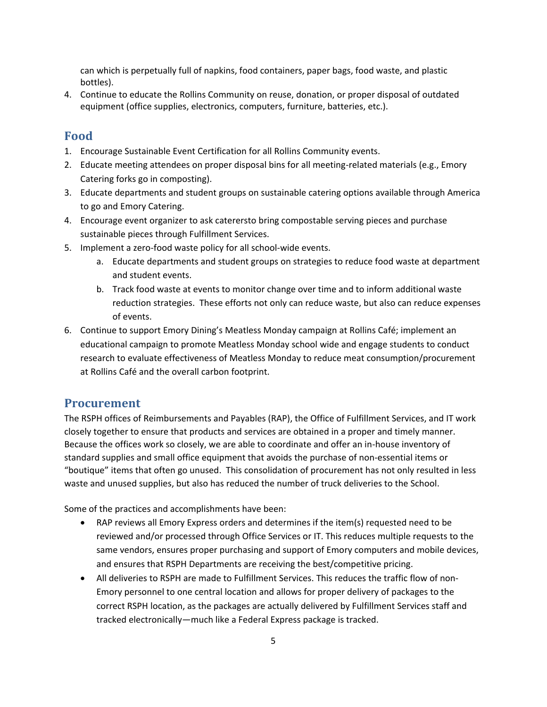can which is perpetually full of napkins, food containers, paper bags, food waste, and plastic bottles).

4. Continue to educate the Rollins Community on reuse, donation, or proper disposal of outdated equipment (office supplies, electronics, computers, furniture, batteries, etc.).

#### **Food**

- 1. Encourage Sustainable Event Certification for all Rollins Community events.
- 2. Educate meeting attendees on proper disposal bins for all meeting-related materials (e.g., Emory Catering forks go in composting).
- 3. Educate departments and student groups on sustainable catering options available through America to go and Emory Catering.
- 4. Encourage event organizer to ask caterersto bring compostable serving pieces and purchase sustainable pieces through Fulfillment Services.
- 5. Implement a zero-food waste policy for all school-wide events.
	- a. Educate departments and student groups on strategies to reduce food waste at department and student events.
	- b. Track food waste at events to monitor change over time and to inform additional waste reduction strategies. These efforts not only can reduce waste, but also can reduce expenses of events.
- 6. Continue to support Emory Dining's Meatless Monday campaign at Rollins Café; implement an educational campaign to promote Meatless Monday school wide and engage students to conduct research to evaluate effectiveness of Meatless Monday to reduce meat consumption/procurement at Rollins Café and the overall carbon footprint.

#### **Procurement**

The RSPH offices of Reimbursements and Payables (RAP), the Office of Fulfillment Services, and IT work closely together to ensure that products and services are obtained in a proper and timely manner. Because the offices work so closely, we are able to coordinate and offer an in-house inventory of standard supplies and small office equipment that avoids the purchase of non-essential items or "boutique" items that often go unused. This consolidation of procurement has not only resulted in less waste and unused supplies, but also has reduced the number of truck deliveries to the School.

Some of the practices and accomplishments have been:

- RAP reviews all Emory Express orders and determines if the item(s) requested need to be reviewed and/or processed through Office Services or IT. This reduces multiple requests to the same vendors, ensures proper purchasing and support of Emory computers and mobile devices, and ensures that RSPH Departments are receiving the best/competitive pricing.
- All deliveries to RSPH are made to Fulfillment Services. This reduces the traffic flow of non-Emory personnel to one central location and allows for proper delivery of packages to the correct RSPH location, as the packages are actually delivered by Fulfillment Services staff and tracked electronically—much like a Federal Express package is tracked.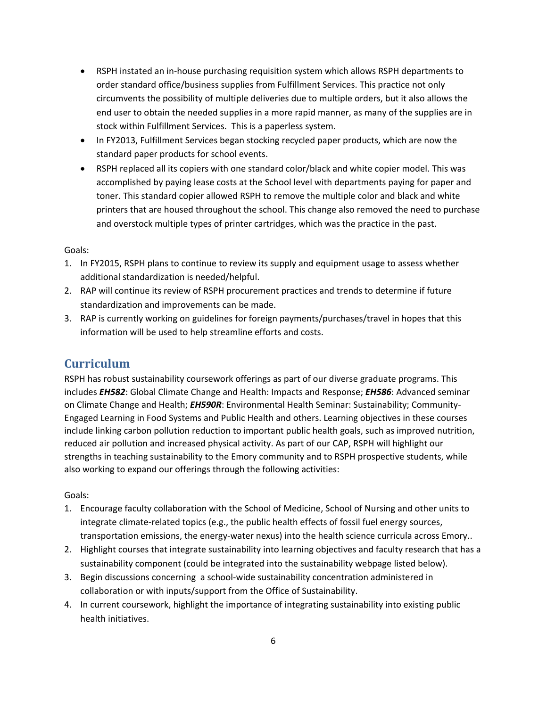- RSPH instated an in-house purchasing requisition system which allows RSPH departments to order standard office/business supplies from Fulfillment Services. This practice not only circumvents the possibility of multiple deliveries due to multiple orders, but it also allows the end user to obtain the needed supplies in a more rapid manner, as many of the supplies are in stock within Fulfillment Services. This is a paperless system.
- In FY2013, Fulfillment Services began stocking recycled paper products, which are now the standard paper products for school events.
- RSPH replaced all its copiers with one standard color/black and white copier model. This was accomplished by paying lease costs at the School level with departments paying for paper and toner. This standard copier allowed RSPH to remove the multiple color and black and white printers that are housed throughout the school. This change also removed the need to purchase and overstock multiple types of printer cartridges, which was the practice in the past.

#### Goals:

- 1. In FY2015, RSPH plans to continue to review its supply and equipment usage to assess whether additional standardization is needed/helpful.
- 2. RAP will continue its review of RSPH procurement practices and trends to determine if future standardization and improvements can be made.
- 3. RAP is currently working on guidelines for foreign payments/purchases/travel in hopes that this information will be used to help streamline efforts and costs.

## **Curriculum**

RSPH has robust sustainability coursework offerings as part of our diverse graduate programs. This includes *EH582*: Global Climate Change and Health: Impacts and Response; *EH586*: Advanced seminar on Climate Change and Health; *EH590R*: Environmental Health Seminar: Sustainability; Community-Engaged Learning in Food Systems and Public Health and others. Learning objectives in these courses include linking carbon pollution reduction to important public health goals, such as improved nutrition, reduced air pollution and increased physical activity. As part of our CAP, RSPH will highlight our strengths in teaching sustainability to the Emory community and to RSPH prospective students, while also working to expand our offerings through the following activities:

#### Goals:

- 1. Encourage faculty collaboration with the School of Medicine, School of Nursing and other units to integrate climate-related topics (e.g., the public health effects of fossil fuel energy sources, transportation emissions, the energy-water nexus) into the health science curricula across Emory..
- 2. Highlight courses that integrate sustainability into learning objectives and faculty research that has a sustainability component (could be integrated into the sustainability webpage listed below).
- 3. Begin discussions concerning a school-wide sustainability concentration administered in collaboration or with inputs/support from the Office of Sustainability.
- 4. In current coursework, highlight the importance of integrating sustainability into existing public health initiatives.